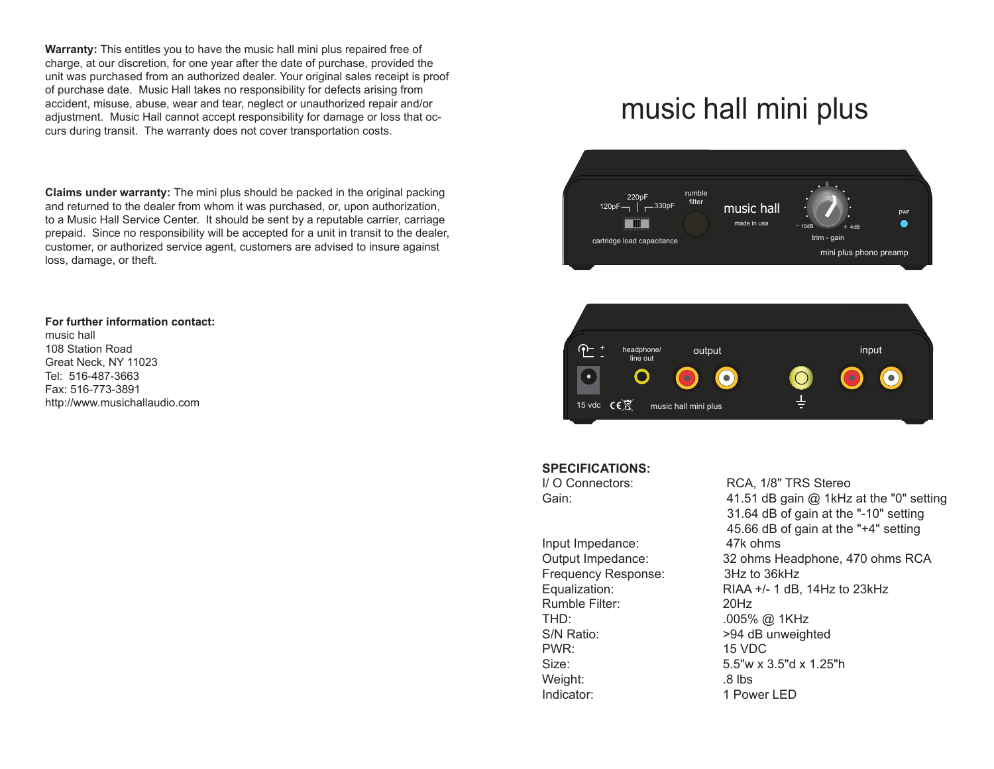**Warranty:** This entitles you to have the music hall mini plus repaired free of charge, at our discretion, for one year after the date of purchase, provided the unit was purchased from an authorized dealer. Your original sales receipt is proof of purchase date. Music Hall takes no responsibility for defects arising from accident, misuse, abuse, wear and tear, neglect or unauthorized repair and/or adjustment. Music Hall cannot accept responsibility for damage or loss that occurs during transit. The warranty does not cover transportation costs.

**Claims under warranty:** The mini plus should be packed in the original packing and returned to the dealer from whom it was purchased, or, upon authorization, to a Music Hall Service Center. It should be sent by a reputable carrier, carriage prepaid. Since no responsibility will be accepted for a unit in transit to the dealer, customer, or authorized service agent, customers are advised to insure against loss, damage, or theft.

## **For further information contact:**

music hall 108 Station Road Great Neck, NY 11023 Tel: 516-487-3663 Fax: 516-773-3891 http://www.musichallaudio.com

## music hall mini plus





## **SPECIFICATIONS:**

Input Impedance: 47k ohms Frequency Response: 3Hz to 36kHz Rumble Filter: 20Hz THD: .005% @ 1KHz S/N Ratio:  $>94$  dB unweighted PWR: 15 VDC Weight: .8 lbs Indicator: 1 Power LED

I/ O Connectors: RCA, 1/8" TRS Stereo Gain: Gain: 41.51 dB gain @ 1kHz at the "0" setting 31.64 dB of gain at the "-10" setting 45.66 dB of gain at the "+4" setting Output Impedance: 32 ohms Headphone, 470 ohms RCA Equalization: RIAA +/- 1 dB, 14Hz to 23kHz Size: 5.5"w x 3.5"d x 1.25"h